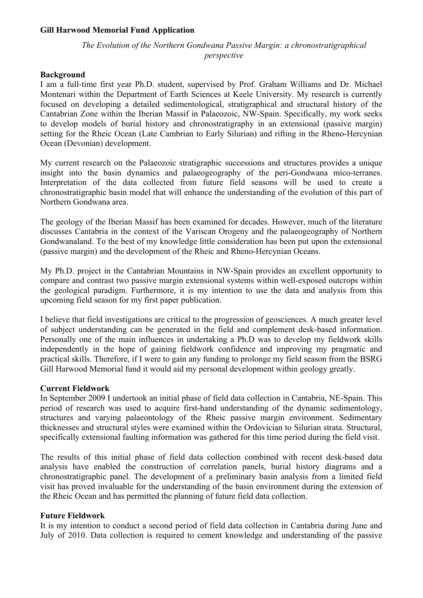### **Gill Harwood Memorial Fund Application**

# *The Evolution of the Northern Gondwana Passive Margin: a chronostratigraphical perspective*

#### **Background**

I am a full-time first year Ph.D. student, supervised by Prof. Graham Williams and Dr. Michael Montenari within the Department of Earth Sciences at Keele University. My research is currently focused on developing a detailed sedimentological, stratigraphical and structural history of the Cantabrian Zone within the Iberian Massif in Palaeozoic, NW-Spain. Specifically, my work seeks to develop models of burial history and chronostratigraphy in an extensional (passive margin) setting for the Rheic Ocean (Late Cambrian to Early Silurian) and rifting in the Rheno-Hercynian Ocean (Devonian) development.

My current research on the Palaeozoic stratigraphic successions and structures provides a unique insight into the basin dynamics and palaeogeography of the peri-Gondwana mico-terranes. Interpretation of the data collected from future field seasons will be used to create a chronostratigraphic basin model that will enhance the understanding of the evolution of this part of Northern Gondwana area.

The geology of the Iberian Massif has been examined for decades. However, much of the literature discusses Cantabria in the context of the Variscan Orogeny and the palaeogeography of Northern Gondwanaland. To the best of my knowledge little consideration has been put upon the extensional (passive margin) and the development of the Rheic and Rheno-Hercynian Oceans.

My Ph.D. project in the Cantabrian Mountains in NW-Spain provides an excellent opportunity to compare and contrast two passive margin extensional systems within well-exposed outcrops within the geological paradigm. Furthermore, it is my intention to use the data and analysis from this upcoming field season for my first paper publication.

I believe that field investigations are critical to the progression of geosciences. A much greater level of subject understanding can be generated in the field and complement desk-based information. Personally one of the main influences in undertaking a Ph.D was to develop my fieldwork skills independently in the hope of gaining fieldwork confidence and improving my pragmatic and practical skills. Therefore, if I were to gain any funding to prolonge my field season from the BSRG Gill Harwood Memorial fund it would aid my personal development within geology greatly.

#### **Current Fieldwork**

In September 2009 I undertook an initial phase of field data collection in Cantabria, NE-Spain. This period of research was used to acquire first-hand understanding of the dynamic sedimentology, structures and varying palaeontology of the Rheic passive margin environment. Sedimentary thicknesses and structural styles were examined within the Ordovician to Silurian strata. Structural, specifically extensional faulting information was gathered for this time period during the field visit.

The results of this initial phase of field data collection combined with recent desk-based data analysis have enabled the construction of correlation panels, burial history diagrams and a chronostratigraphic panel. The development of a preliminary basin analysis from a limited field visit has proved invaluable for the understanding of the basin environment during the extension of the Rheic Ocean and has permitted the planning of future field data collection.

#### **Future Fieldwork**

It is my intention to conduct a second period of field data collection in Cantabria during June and July of 2010. Data collection is required to cement knowledge and understanding of the passive